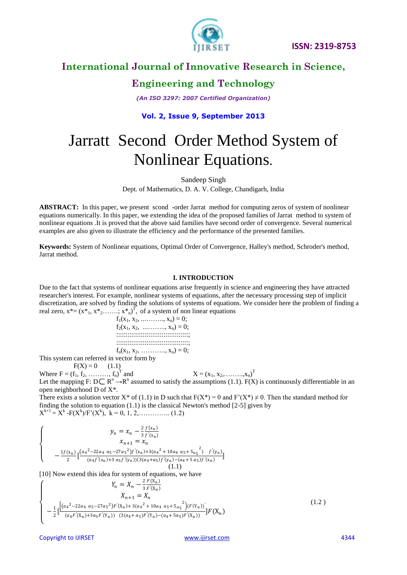

# **Engineering and Technology**

*(An ISO 3297: 2007 Certified Organization)*

### **Vol. 2, Issue 9, September 2013**

# Jarratt Second Order Method System of Nonlinear Equations.

Sandeep Singh

Dept. of Mathematics, D. A. V. College, Chandigarh, India

**ABSTRACT:** In this paper, we present scond -order Jarrat method for computing zeros of system of nonlinear equations numerically. In this paper, we extending the idea of the proposed families of Jarrat method to system of nonlinear equations .It is proved that the above said families have second order of convergence. Several numerical examples are also given to illustrate the efficiency and the performance of the presented families.

**Keywords:** System of Nonlinear equations, Optimal Order of Convergence, Halley's method, Schroder's method, Jarrat method.

#### **I. INTRODUCTION**

Due to the fact that systems of nonlinear equations arise frequently in science and engineering they have attracted researcher's interest. For example, nonlinear systems of equations, after the necessary processing step of implicit discretization, are solved by finding the solutions of systems of equations. We consider here the problem of finding a real zero,  $x^* = (x^*, x^*, \dots, x^*)^T$ , of a system of non linear equations

 $f_1(x_1, x_2, \ldots, x_n) = 0;$  $f_2(x_1, x_2, \ldots, x_n) = 0;$  ::::::::::::::::::::::::::::::::::::::; ::::::::::::::::::::::::::::::::::::::;  $f_n(x_1, x_2, \ldots, x_n) = 0;$ 

This system can referred in vector form by

 $F(X) = 0$  (1.1)

Where  $F = (f_1, f_2, \dots, f_n)^T$ and  $X = (x_1, x_2, \dots, x_n)^T$ Let the mapping F:  $D \subseteq R^n \to R^n$  assumed to satisfy the assumptions (1.1). F(X) is continuously differentiable in an open neighborhood D of X\*.

There exists a solution vector X\* of (1.1) in D such that  $F(X^*) = 0$  and  $F'(X^*) \neq 0$ . Then the standard method for finding the solution to equation  $(1.1)$  is the classical Newton's method  $[2-5]$  given by  $X^{k+1} = X^k - F(X^k)/F'(X^k)$ ,  $k = 0, 1, 2, \dots \dots \dots \dots (1.2)$ 

$$
\begin{cases}\n y_n = x_n - \frac{2}{3} \frac{f(x_n)}{f'(x_n)} \\
 x_{n+1} = x_n \\
 -\frac{1f(x_n)}{2} \left[ \frac{(a_4^2 - 22a_4 a_5 - 27a_5^2)f'(x_n) + 3(a_4^2 + 10a_4 a_5 + 5a_5^2) f'(y_n)}{(a_4 f'(x_n) + 3a_5 f'(y_n))(3(a_4 + a_5)f'(x_n) - (a_4 + 5a_5)f'(x_n)} \right]\n & (1.1)\n \end{cases}
$$

[10] Now extend this idea for system of equations, we have

$$
\begin{cases}\nY_n = X_n - \frac{2 F(X_n)}{3 F'(X_n)} \\
X_{n+1} = X_n \\
-\frac{1}{2} \left[ \frac{\left[ (a_4^2 - 22a_4 a_5 - 27a_5^2) F'(X_n) + 3(a_4^2 + 10a_4 a_5 + 5a_5^2) (F(Y_n)) \right]}{(a_4 F'(X_n) + 3a_5 F'(Y_n)) (3(a_4 + a_5) F'(X_n) - (a_4 + 5a_5) F'(X_n))} \right] F(X_n)\n\end{cases} \tag{1.2}
$$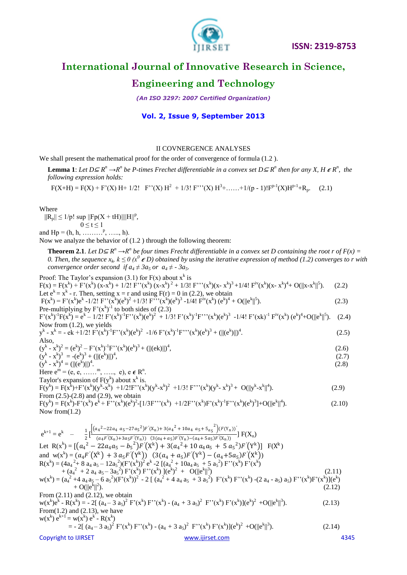

# **Engineering and Technology**

*(An ISO 3297: 2007 Certified Organization)*

### **Vol. 2, Issue 9, September 2013**

#### II COVNERGENCE ANALYSES

We shall present the mathematical proof for the order of convergence of formula  $(1.2)$ .

**Lemma 1**: Let  $D \subseteq R^n \to R^n$  be P-times Frechet differentiable in a convex set  $D \subseteq R^n$  then for any X, H  $\epsilon R^n$ , the *following expression holds:*

 $F(X+H) = F(X) + F'(X) H + 1/2! \quad F''(X) H^2 + 1/3! \quad F'''(X) H^3 + \dots + 1/(p-1)! F^{p-1}(X) H^{p-1} + R_p.$  (2.1)

Where

 $||R_p|| \le 1/p!$  sup  $||Fp(X + tH)|| ||H||^p$ ,

 $0 \leq t \leq 1$ and  $Hp = (h, h, \ldots, h, \ldots, h).$ 

Now we analyze the behavior of (1.2 ) through the following theorem:

**Theorem 2.1**. Let  $D \subseteq R^n \to R^n$  be four times Frecht differentiable in a convex set D containing the root r of  $F(x) =$ 0. Then, the sequence  $x_k$ ,  $k \leq 0$  ( $x^0$   $\in$  D) obtained by using the iterative expression of method (1.2) converges to r with *convergence order second if*  $a_4 \neq 3a_5$  *or*  $a_4 \neq 3a_5$ *.* 

Proof: The Taylor's expansion (3.1) for F(x) about x<sup>k</sup> is  
\n
$$
F(x) = F(x^k) + F'(x^k)(x-x^k)^2 + 1/2! F''(x^k)(x-x^k)^2 + 1/3! F'''(x^k)(x-x^k)^3 + 1/4! Fiv(x^k)(x-x^k)^4 + O(||x-x^k||^5). (2.2)\nLet  $e^k = x^k - r$ . Then, setting  $x = r$  and using  $F(r) = 0$  in (2.2), we obtain  
\n $F(x^k) = F'(x^k)e^k - 1/2! F''(x^k)(e^k)^2 + 1/3! F''(x^k)(e^k)^3 - 1/4! F''(x^k)(e^k)^4 + O(||e^k||^5). (2.3)\n $F'(x^k)^T(x^k) = e^k - 1/2! F'(x^k)^T F''(x^k)(e^k)^2 + 1/3! F'(x^k)^{-1}F'''(x^k)(e^k)^3 - 1/4! F'(x^k)(e^k)^4 + O(||e^k||^5). (2.4)\nNow from (1.2), we yields\n $y^k - x^k = -e^k + 1/2! F'(x^k)^{-1}F''(x^k)(e^k)^2 + (||(e^k)||)^4, (2.6)\n $(y^k - x^k)^2 = (e^k)^2 - F'(x^k)^{-1}F''(x^k)(e^k)^3 + (||(e^k)||^4, (2.6)\n $(y^k - x^k)^2 = (e^k)^2 - F'(x^k)^{-1}F''(x^k)(e^k)^3 + (||(e^k)||^4, (2.6)\n $(y^k - x^k)^2 = (e^k)^2 + (||(e^k)||)^4$ , (2.6)  
\n $(y^k - x^k)^2 = (e^k)^2 + (||(e^k)||)^4$ , (2.7)  
\nHere  $e^m = (e, \dots, m, \dots, e)$ ,  $e \in R^n$ .  
\nTaylor's expansion of  $F(y^k)$  about x<sup>k</sup> is,  
\n $F(y^k) = F(x^k) - F'(x^k)e^k + F''(x^k)(e^k)^2 - [1/3F'''(x^k)(e^k)^2 + 1/$$$$$$
$$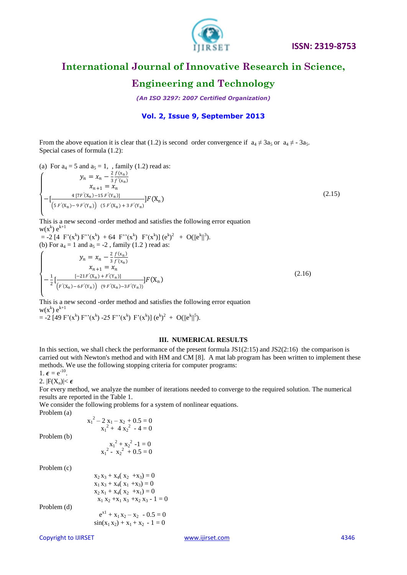

### **Engineering and Technology**

*(An ISO 3297: 2007 Certified Organization)*

#### **Vol. 2, Issue 9, September 2013**

From the above equation it is clear that (1.2) is second order convergence if  $a_4 \neq 3a_5$  or  $a_4 \neq -3a_5$ . Special cases of formula (1.2):

(a) For  $a_4 = 5$  and  $a_5 = 1$ , family (1.2) read as:

$$
\begin{cases}\n y_n = x_n - \frac{2}{3} \frac{f(x_n)}{f'(x_n)} \\
 x_{n+1} = x_n \\
 -\left[\frac{4\left[7F'(X_n) - 15F'(Y_n)\right]}{\left(5F'(X_n) - 9F'(Y_n)\right)\left(5F'(X_n) + 3F'(Y_n)\right]}\right] F(X_n)\n\end{cases}
$$
\n(2.15)

This is a new second -order method and satisfies the following error equation  $w(x^k) e^{k+1}$ 

 $= -2 [4 \ F'(x^k) F''(x^k) + 64 \ F''(x^k) \ F'(x^k)] (e^k)^2 + O(||e^k||^3).$ (b) For  $a_4 = 1$  and  $a_5 = -2$ , family (1.2) read as:  $\overline{\mathcal{L}}$  $\overline{1}$  $\overline{1}$  $\overline{1}$  $y_n = x_n - \frac{2}{3}$ 3  $f(x_n)$  $\frac{x_n}{x_{n+1}} = \frac{3 f'(x_n)}{x_n}$  $-\frac{1}{2}$  $\frac{1}{2} \left[ \frac{[-21F'(X_n) + F'(Y_n)]}{(F'(X_n) + EF'(X_n))} \right]$  $\frac{1-2iF(\lambda_n)+F(\lambda_n)}{F'(\lambda_n)-6F'(\lambda_n)}F(X_n)$ (2.16)

This is a new second -order method and satisfies the following error equation  $w(x^k) e^{k+1}$  $= -2 [49 F'(x^k) F''(x^k) - 25 F''(x^k) F'(x^k)] (e^k)^2 + O(||e^k||^5).$ 

#### **III. NUMERICAL RESULTS**

In this section, we shall check the performance of the present formula  $JS1(2:15)$  and  $JS2(2:16)$  the comparison is carried out with Newton's method and with HM and CM [8]. A mat lab program has been written to implement these methods. We use the following stopping criteria for computer programs:

1.  $\boldsymbol{\epsilon} = e^{-10}$ .

2.  $|F(X_n)| < \epsilon$ 

For every method, we analyze the number of iterations needed to converge to the required solution. The numerical results are reported in the Table 1.

We consider the following problems for a system of nonlinear equations.

Problem (a)

|             | $x_1^2 - 2x_1 - x_2 + 0.5 = 0$<br>$x_1^2 + 4x_2^2 - 4 = 0$ |
|-------------|------------------------------------------------------------|
| Problem (b) | $x_1^2 + x_2^2 - 1 = 0$<br>$x_1^2 - x_2^2 + 0.5 = 0$       |

Problem (c)

 $x_2 x_3 + x_4 (x_2 + x_3) = 0$  $x_1 x_3 + x_4 (x_1 + x_3) = 0$  $x_2 x_1 + x_4 (x_2 + x_1) = 0$  $x_1 x_2 + x_1 x_3 + x_2 x_3 - 1 = 0$ Problem (d) e de la contradición de la contradición de la contradición de la contradición de la contradición de la contradición de la contradición de la contradición de la contradición de la contradición de la contradición de la contr  $e^{x1} + x_1 x_2 - x_2 - 0.5 = 0$  $sin(x_1 x_2) + x_1 + x_2 - 1 = 0$ 

Copyright to IJIRSET [www.ijirset.com](http://www.ijirset.com/) 4346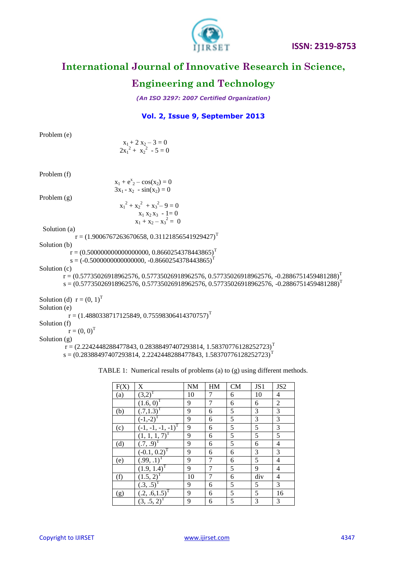

# **Engineering and Technology**

*(An ISO 3297: 2007 Certified Organization)*

### **Vol. 2, Issue 9, September 2013**

| Problem (e)                 |                                                                                              |  |
|-----------------------------|----------------------------------------------------------------------------------------------|--|
|                             |                                                                                              |  |
|                             | $x_1 + 2 x_2 - 3 = 0$<br>$2x_1^2 + x_2^2 - 5 = 0$                                            |  |
|                             |                                                                                              |  |
| Problem (f)                 |                                                                                              |  |
|                             | $x_1 + e^{x} - cos(x_2) = 0$                                                                 |  |
|                             | $3x_1 - x_2 - \sin(x_2) = 0$                                                                 |  |
| Problem $(g)$               |                                                                                              |  |
|                             | $x_1^2 + x_2^2 + x_3^2 - 9 = 0$                                                              |  |
|                             | $x_1 x_2 x_3 - 1 = 0$                                                                        |  |
|                             | $x_1 + x_2 - x_3^2 = 0$                                                                      |  |
| Solution (a)                |                                                                                              |  |
|                             | $r = (1.9006767263670658, 0.31121856541929427)^T$                                            |  |
| Solution (b)                |                                                                                              |  |
|                             | $r = (0.500000000000000000, 0.8660254378443865)^T$                                           |  |
|                             | $s = (-0.500000000000000, -0.8660254378443865)^T$                                            |  |
| Solution (c)                | $r = (0.57735026918962576, 0.57735026918962576, 0.57735026918962576, -0.2886751459481288)^T$ |  |
|                             | $s = (0.57735026918962576, 0.57735026918962576, 0.57735026918962576, -0.2886751459481288)^T$ |  |
|                             |                                                                                              |  |
| Solution (d) $r = (0, 1)^T$ |                                                                                              |  |
| Solution (e)                |                                                                                              |  |
|                             | $r = (1.4880338717125849, 0.75598306414370757)^T$                                            |  |
| Solution (f)                |                                                                                              |  |
| $r = (0, 0)^T$              |                                                                                              |  |
| Solution $(g)$              |                                                                                              |  |
|                             | $r = (2.2242448288477843, 0.28388497407293814, 1.58370776128252723)^T$                       |  |
|                             | $s = (0.28388497407293814, 2.2242448288477843, 1.58370776128252723)^T$                       |  |
|                             |                                                                                              |  |

| F(X) | X                          | <b>NM</b> | HM | <b>CM</b> | JS1 | JS <sub>2</sub> |
|------|----------------------------|-----------|----|-----------|-----|-----------------|
| (a)  | $(3,2)^{T}$                | 10        | 7  | 6         | 10  | 4               |
|      | $(1.6, 0)^T$               | 9         | 7  | 6         | 6   | $\overline{2}$  |
| (b)  | $(.7,1.3)^T$               | 9         | 6  | 5         | 3   | 3               |
|      | $(-1,-2)^{T}$              | 9         | 6  | 5         | 3   | 3               |
| (c)  | $(-1, -1, -1, -1)^T$       | 9         | 6  | 5         | 5   | 3               |
|      | $(1, 1, 1, 7)^T$           | 9         | 6  | 5         | 5   | 5               |
| (d)  | $(.7, .9)^T$               | 9         | 6  | 5         | 6   | $\overline{4}$  |
|      | $\overline{(-0.1, 0.2)}^T$ | 9         | 6  | 6         | 3   | 3               |
| (e)  | $(.99, .1)^T$              | 9         | 7  | 6         | 5   | 4               |
|      | $(1.9, 1.4)^T$             | 9         | 7  | 5         | 9   | $\overline{4}$  |
| (f)  | $(1.5, 2)^{T}$             | 10        | 7  | 6         | div | 4               |
|      | $(0.3, .5)^T$              | 9         | 6  | 5         | 5   | 3               |
| (g)  | $(.2, .6, 1.5)^T$          | 9         | 6  | 5         | 5   | 16              |
|      | $(3, .5, 2)^T$             | 9         | 6  | 5         | 3   | 3               |

TABLE 1: Numerical results of problems (a) to (g) using different methods.